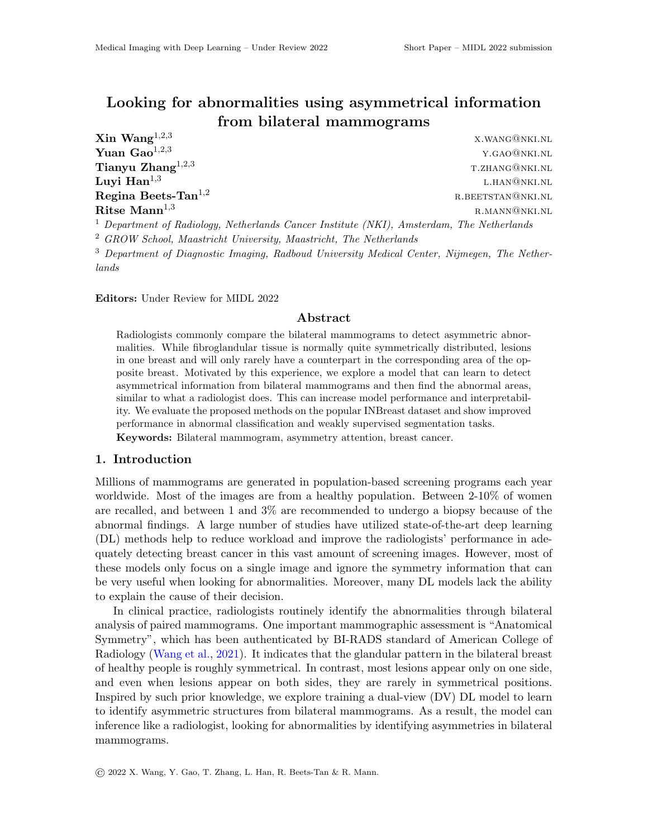# Looking for abnormalities using asymmetrical information from bilateral mammograms

 $\bf{Xin}$   $\bf{Wang}^{1,2,3}$  x.wang@nki.nl **Yuan Gao**<sup>1,2,3</sup> y.gao@nki.nl  $\bf{Tianyu\ Zhang}^{1,2,3}$   $\bf{T. ZHANG@NKI.NL}$ Luyi  $\text{Han}^{1,3}$ l.han@nki.nl **Regina Beets-Tan**<sup>1,2</sup> r.beetstan@nki.nl **Ritse Mann**<sup>1,3</sup> r.mann@nki.nl <sup>1</sup> Department of Radiology, Netherlands Cancer Institute (NKI), Amsterdam, The Netherlands

<sup>2</sup> GROW School, Maastricht University, Maastricht, The Netherlands

<sup>3</sup> Department of Diagnostic Imaging, Radboud University Medical Center, Nijmegen, The Netherlands

Editors: Under Review for MIDL 2022

#### Abstract

Radiologists commonly compare the bilateral mammograms to detect asymmetric abnormalities. While fibroglandular tissue is normally quite symmetrically distributed, lesions in one breast and will only rarely have a counterpart in the corresponding area of the opposite breast. Motivated by this experience, we explore a model that can learn to detect asymmetrical information from bilateral mammograms and then find the abnormal areas, similar to what a radiologist does. This can increase model performance and interpretability. We evaluate the proposed methods on the popular INBreast dataset and show improved performance in abnormal classification and weakly supervised segmentation tasks. Keywords: Bilateral mammogram, asymmetry attention, breast cancer.

### 1. Introduction

Millions of mammograms are generated in population-based screening programs each year worldwide. Most of the images are from a healthy population. Between 2-10% of women are recalled, and between 1 and 3% are recommended to undergo a biopsy because of the abnormal findings. A large number of studies have utilized state-of-the-art deep learning (DL) methods help to reduce workload and improve the radiologists' performance in adequately detecting breast cancer in this vast amount of screening images. However, most of these models only focus on a single image and ignore the symmetry information that can be very useful when looking for abnormalities. Moreover, many DL models lack the ability to explain the cause of their decision.

In clinical practice, radiologists routinely identify the abnormalities through bilateral analysis of paired mammograms. One important mammographic assessment is "Anatomical Symmetry", which has been authenticated by BI-RADS standard of American College of Radiology [\(Wang et al.,](#page-2-0) [2021\)](#page-2-0). It indicates that the glandular pattern in the bilateral breast of healthy people is roughly symmetrical. In contrast, most lesions appear only on one side, and even when lesions appear on both sides, they are rarely in symmetrical positions. Inspired by such prior knowledge, we explore training a dual-view (DV) DL model to learn to identify asymmetric structures from bilateral mammograms. As a result, the model can inference like a radiologist, looking for abnormalities by identifying asymmetries in bilateral mammograms.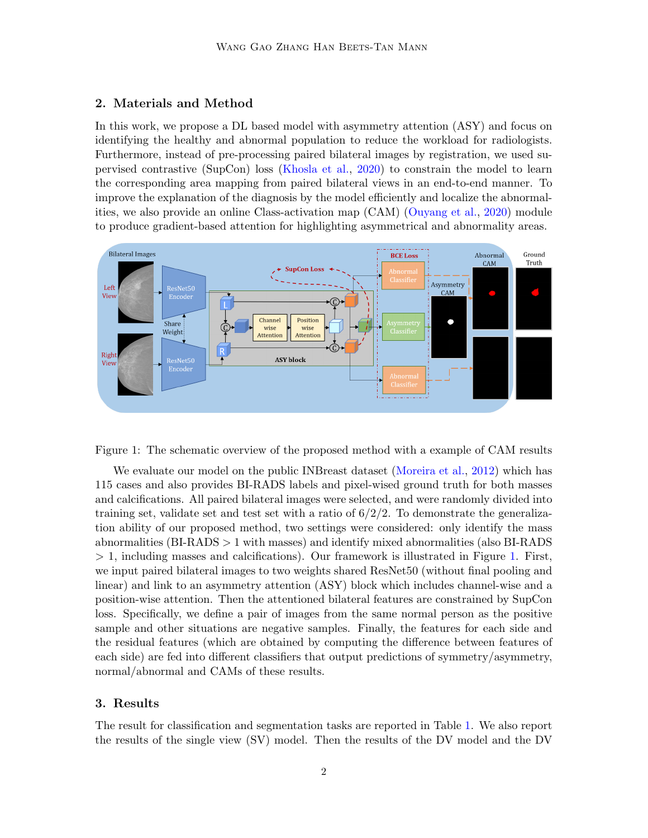## 2. Materials and Method

In this work, we propose a DL based model with asymmetry attention (ASY) and focus on identifying the healthy and abnormal population to reduce the workload for radiologists. Furthermore, instead of pre-processing paired bilateral images by registration, we used supervised contrastive (SupCon) loss [\(Khosla et al.,](#page-2-1) [2020\)](#page-2-1) to constrain the model to learn the corresponding area mapping from paired bilateral views in an end-to-end manner. To improve the explanation of the diagnosis by the model efficiently and localize the abnormalities, we also provide an online Class-activation map (CAM) [\(Ouyang et al.,](#page-2-2) [2020\)](#page-2-2) module to produce gradient-based attention for highlighting asymmetrical and abnormality areas.



<span id="page-1-0"></span>Figure 1: The schematic overview of the proposed method with a example of CAM results

We evaluate our model on the public INBreast dataset [\(Moreira et al.,](#page-2-3) [2012\)](#page-2-3) which has 115 cases and also provides BI-RADS labels and pixel-wised ground truth for both masses and calcifications. All paired bilateral images were selected, and were randomly divided into training set, validate set and test set with a ratio of  $6/2/2$ . To demonstrate the generalization ability of our proposed method, two settings were considered: only identify the mass abnormalities (BI-RADS > 1 with masses) and identify mixed abnormalities (also BI-RADS > 1, including masses and calcifications). Our framework is illustrated in Figure [1.](#page-1-0) First, we input paired bilateral images to two weights shared ResNet50 (without final pooling and linear) and link to an asymmetry attention (ASY) block which includes channel-wise and a position-wise attention. Then the attentioned bilateral features are constrained by SupCon loss. Specifically, we define a pair of images from the same normal person as the positive sample and other situations are negative samples. Finally, the features for each side and the residual features (which are obtained by computing the difference between features of each side) are fed into different classifiers that output predictions of symmetry/asymmetry, normal/abnormal and CAMs of these results.

#### 3. Results

The result for classification and segmentation tasks are reported in Table [1.](#page-2-4) We also report the results of the single view (SV) model. Then the results of the DV model and the DV